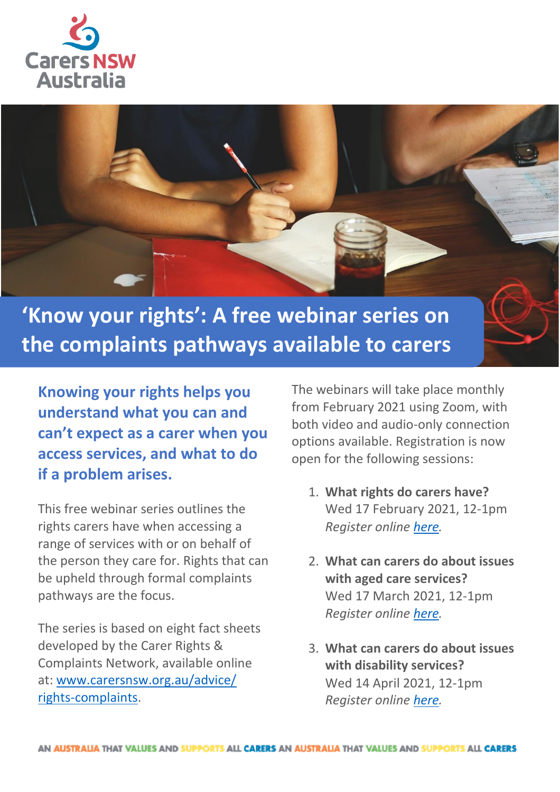



**the complaints pathways available to carers**

**Knowing your rights helps you understand what you can and can't expect as a carer when you access services, and what to do if a problem arises.** 

This free webinar series outlines the rights carers have when accessing a range of services with or on behalf of the person they care for. Rights that can be upheld through formal complaints pathways are the focus.

The series is based on eight fact sheets developed by the Carer Rights & Complaints Network, available online at: [www.carersnsw.org.au/advice/](http://www.carersnsw.org.au/advice/rights-complaints) [rights-complaints.](http://www.carersnsw.org.au/advice/rights-complaints)

The webinars will take place monthly from February 2021 using Zoom, with both video and audio-only connection options available. Registration is now open for the following sessions:

- 1. **What rights do carers have?** Wed 17 February 2021, 12-1pm *Register online [here.](https://analytics-au.clickdimensions.com/cn/aosfc/rightscarershave)*
- 2. **What can carers do about issues with aged care services?** Wed 17 March 2021, 12-1pm *Register online [here.](https://analytics-au.clickdimensions.com/cn/aosfc/rightsagedcare)*
- 3. **What can carers do about issues with disability services?** Wed 14 April 2021, 12-1pm *Register online [here.](https://analytics-au.clickdimensions.com/cn/aosfc/rightsdisability)*